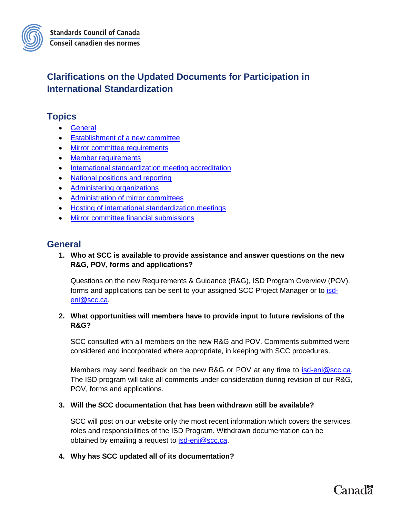## **Clarifications on the Updated Documents for Participation in International Standardization**

## **Topics**

- [General](#page-0-0)
- Establishment [of a new committee](#page-1-0)
- [Mirror committee requirements](#page-1-1)
- [Member requirements](#page-4-0)
- [International standardization meeting](#page-4-1) accreditation
- [National positions and reporting](#page-6-0)
- [Administering organizations](#page-6-1)
- [Administration of mirror committees](#page-6-2)
- [Hosting of international standardization meetings](#page-7-0)
- [Mirror committee financial submissions](#page-7-1)

## <span id="page-0-0"></span>**General**

#### **1. Who at SCC is available to provide assistance and answer questions on the new R&G, POV, forms and applications?**

Questions on the new Requirements & Guidance (R&G), ISD Program Overview (POV), forms and applications can be sent to your assigned SCC Project Manager or to [isd](mailto:isd-eni@scc.ca)[eni@scc.ca.](mailto:isd-eni@scc.ca)

#### **2. What opportunities will members have to provide input to future revisions of the R&G?**

SCC consulted with all members on the new R&G and POV. Comments submitted were considered and incorporated where appropriate, in keeping with SCC procedures.

Members may send feedback on the new R&G or POV at any time to **isd-eni@scc.ca**. The ISD program will take all comments under consideration during revision of our R&G, POV, forms and applications.

#### **3. Will the SCC documentation that has been withdrawn still be available?**

SCC will post on our website only the most recent information which covers the services, roles and responsibilities of the ISD Program. Withdrawn documentation can be obtained by emailing a request to [isd-eni@scc.ca.](mailto:isd-eni@scc.ca)

#### **4. Why has SCC updated all of its documentation?**

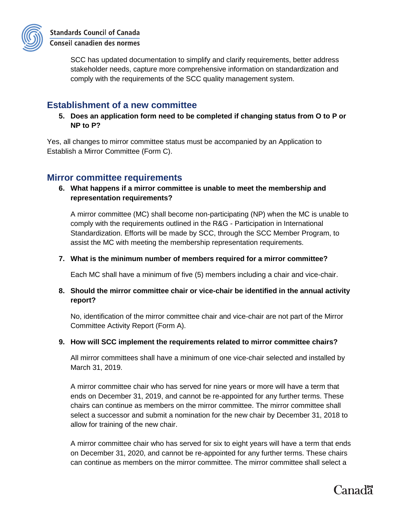

SCC has updated documentation to simplify and clarify requirements, better address stakeholder needs, capture more comprehensive information on standardization and comply with the requirements of the SCC quality management system.

## <span id="page-1-0"></span>**Establishment of a new committee**

**5. Does an application form need to be completed if changing status from O to P or NP to P?**

Yes, all changes to mirror committee status must be accompanied by an Application to Establish a Mirror Committee (Form C).

## <span id="page-1-1"></span>**Mirror committee requirements**

#### **6. What happens if a mirror committee is unable to meet the membership and representation requirements?**

A mirror committee (MC) shall become non-participating (NP) when the MC is unable to comply with the requirements outlined in the R&G - Participation in International Standardization. Efforts will be made by SCC, through the SCC Member Program, to assist the MC with meeting the membership representation requirements.

#### **7. What is the minimum number of members required for a mirror committee?**

Each MC shall have a minimum of five (5) members including a chair and vice-chair.

#### **8. Should the mirror committee chair or vice-chair be identified in the annual activity report?**

No, identification of the mirror committee chair and vice-chair are not part of the Mirror Committee Activity Report (Form A).

#### **9. How will SCC implement the requirements related to mirror committee chairs?**

All mirror committees shall have a minimum of one vice-chair selected and installed by March 31, 2019.

A mirror committee chair who has served for nine years or more will have a term that ends on December 31, 2019, and cannot be re-appointed for any further terms. These chairs can continue as members on the mirror committee. The mirror committee shall select a successor and submit a nomination for the new chair by December 31, 2018 to allow for training of the new chair.

A mirror committee chair who has served for six to eight years will have a term that ends on December 31, 2020, and cannot be re-appointed for any further terms. These chairs can continue as members on the mirror committee. The mirror committee shall select a

# Canad<sup>"</sup>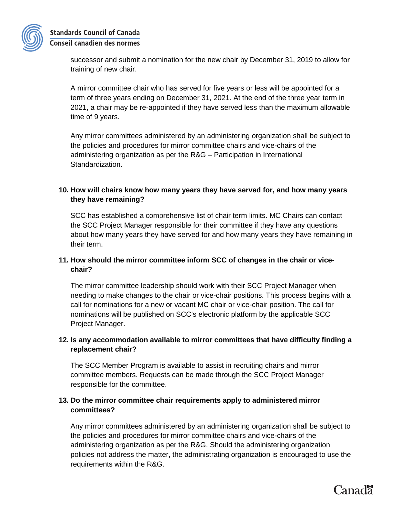

successor and submit a nomination for the new chair by December 31, 2019 to allow for training of new chair.

A mirror committee chair who has served for five years or less will be appointed for a term of three years ending on December 31, 2021. At the end of the three year term in 2021, a chair may be re-appointed if they have served less than the maximum allowable time of 9 years.

Any mirror committees administered by an administering organization shall be subject to the policies and procedures for mirror committee chairs and vice-chairs of the administering organization as per the R&G – Participation in International Standardization.

#### **10. How will chairs know how many years they have served for, and how many years they have remaining?**

SCC has established a comprehensive list of chair term limits. MC Chairs can contact the SCC Project Manager responsible for their committee if they have any questions about how many years they have served for and how many years they have remaining in their term.

#### **11. How should the mirror committee inform SCC of changes in the chair or vicechair?**

The mirror committee leadership should work with their SCC Project Manager when needing to make changes to the chair or vice-chair positions. This process begins with a call for nominations for a new or vacant MC chair or vice-chair position. The call for nominations will be published on SCC's electronic platform by the applicable SCC Project Manager.

#### **12. Is any accommodation available to mirror committees that have difficulty finding a replacement chair?**

The SCC Member Program is available to assist in recruiting chairs and mirror committee members. Requests can be made through the SCC Project Manager responsible for the committee.

#### **13. Do the mirror committee chair requirements apply to administered mirror committees?**

Any mirror committees administered by an administering organization shall be subject to the policies and procedures for mirror committee chairs and vice-chairs of the administering organization as per the R&G. Should the administering organization policies not address the matter, the administrating organization is encouraged to use the requirements within the R&G.

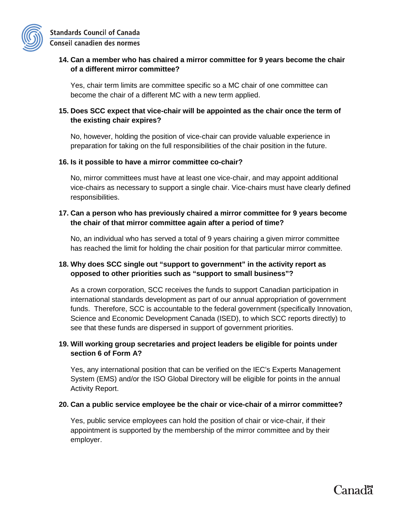#### **14. Can a member who has chaired a mirror committee for 9 years become the chair of a different mirror committee?**

Yes, chair term limits are committee specific so a MC chair of one committee can become the chair of a different MC with a new term applied.

#### **15. Does SCC expect that vice-chair will be appointed as the chair once the term of the existing chair expires?**

No, however, holding the position of vice-chair can provide valuable experience in preparation for taking on the full responsibilities of the chair position in the future.

#### **16. Is it possible to have a mirror committee co-chair?**

No, mirror committees must have at least one vice-chair, and may appoint additional vice-chairs as necessary to support a single chair. Vice-chairs must have clearly defined responsibilities.

#### **17. Can a person who has previously chaired a mirror committee for 9 years become the chair of that mirror committee again after a period of time?**

No, an individual who has served a total of 9 years chairing a given mirror committee has reached the limit for holding the chair position for that particular mirror committee.

#### **18. Why does SCC single out "support to government" in the activity report as opposed to other priorities such as "support to small business"?**

As a crown corporation, SCC receives the funds to support Canadian participation in international standards development as part of our annual appropriation of government funds. Therefore, SCC is accountable to the federal government (specifically Innovation, Science and Economic Development Canada (ISED), to which SCC reports directly) to see that these funds are dispersed in support of government priorities.

#### **19. Will working group secretaries and project leaders be eligible for points under section 6 of Form A?**

Yes, any international position that can be verified on the IEC's Experts Management System (EMS) and/or the ISO Global Directory will be eligible for points in the annual Activity Report.

#### **20. Can a public service employee be the chair or vice-chair of a mirror committee?**

Yes, public service employees can hold the position of chair or vice-chair, if their appointment is supported by the membership of the mirror committee and by their employer.

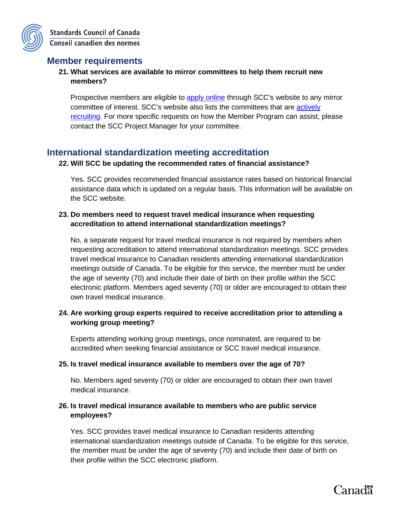## <span id="page-4-0"></span>**Member requirements**

#### **21. What services are available to mirror committees to help them recruit new members?**

Prospective members are eligible to [apply online](https://www.scc.ca/en/standards/committees/get-involved-standardization) through SCC's website to any mirror committee of interest. SCC's website also lists the committees that are [actively](https://www.scc.ca/en/standards/get-involved-in-standardization/committees/actively-recruiting)  [recruiting.](https://www.scc.ca/en/standards/get-involved-in-standardization/committees/actively-recruiting) For more specific requests on how the Member Program can assist, please contact the SCC Project Manager for your committee.

## <span id="page-4-1"></span>**International standardization meeting accreditation**

#### **22. Will SCC be updating the recommended rates of financial assistance?**

Yes. SCC provides recommended financial assistance rates based on historical financial assistance data which is updated on a regular basis. This information will be available on the SCC website.

#### **23. Do members need to request travel medical insurance when requesting accreditation to attend international standardization meetings?**

No, a separate request for travel medical insurance is not required by members when requesting accreditation to attend international standardization meetings. SCC provides travel medical insurance to Canadian residents attending international standardization meetings outside of Canada. To be eligible for this service, the member must be under the age of seventy (70) and include their date of birth on their profile within the SCC electronic platform. Members aged seventy (70) or older are encouraged to obtain their own travel medical insurance.

#### **24. Are working group experts required to receive accreditation prior to attending a working group meeting?**

Experts attending working group meetings, once nominated, are required to be accredited when seeking financial assistance or SCC travel medical insurance.

#### **25. Is travel medical insurance available to members over the age of 70?**

No. Members aged seventy (70) or older are encouraged to obtain their own travel medical insurance.

#### **26. Is travel medical insurance available to members who are public service employees?**

Yes. SCC provides travel medical insurance to Canadian residents attending international standardization meetings outside of Canada. To be eligible for this service, the member must be under the age of seventy (70) and include their date of birth on their profile within the SCC electronic platform.

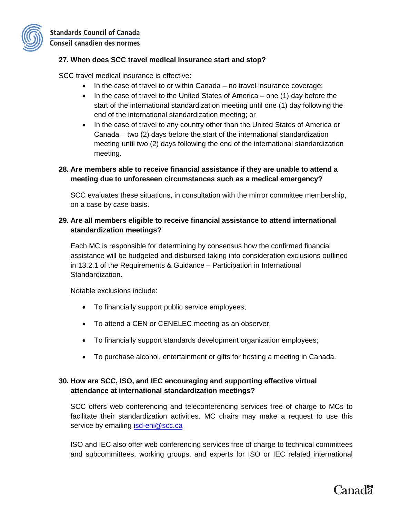

#### **27. When does SCC travel medical insurance start and stop?**

SCC travel medical insurance is effective:

- In the case of travel to or within Canada no travel insurance coverage;
- In the case of travel to the United States of America one (1) day before the start of the international standardization meeting until one (1) day following the end of the international standardization meeting; or
- In the case of travel to any country other than the United States of America or Canada – two (2) days before the start of the international standardization meeting until two (2) days following the end of the international standardization meeting.

#### **28. Are members able to receive financial assistance if they are unable to attend a meeting due to unforeseen circumstances such as a medical emergency?**

SCC evaluates these situations, in consultation with the mirror committee membership, on a case by case basis.

#### **29. Are all members eligible to receive financial assistance to attend international standardization meetings?**

Each MC is responsible for determining by consensus how the confirmed financial assistance will be budgeted and disbursed taking into consideration exclusions outlined in 13.2.1 of the Requirements & Guidance – Participation in International Standardization.

Notable exclusions include:

- To financially support public service employees;
- To attend a CEN or CENELEC meeting as an observer;
- To financially support standards development organization employees;
- To purchase alcohol, entertainment or gifts for hosting a meeting in Canada.

#### **30. How are SCC, ISO, and IEC encouraging and supporting effective virtual attendance at international standardization meetings?**

SCC offers web conferencing and teleconferencing services free of charge to MCs to facilitate their standardization activities. MC chairs may make a request to use this service by emailing [isd-eni@scc.ca](mailto:isd-eni@scc.ca)

ISO and IEC also offer web conferencing services free of charge to technical committees and subcommittees, working groups, and experts for ISO or IEC related international

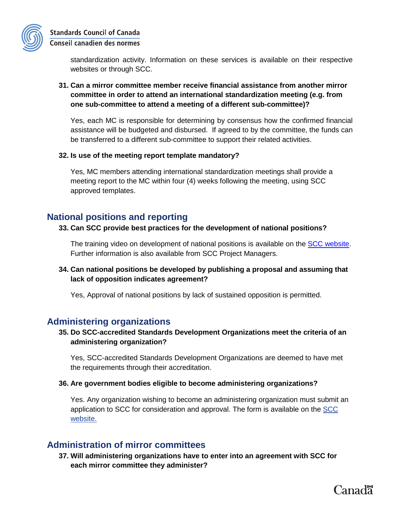

standardization activity. Information on these services is available on their respective websites or through SCC.

#### **31. Can a mirror committee member receive financial assistance from another mirror committee in order to attend an international standardization meeting (e.g. from one sub-committee to attend a meeting of a different sub-committee)?**

Yes, each MC is responsible for determining by consensus how the confirmed financial assistance will be budgeted and disbursed. If agreed to by the committee, the funds can be transferred to a different sub-committee to support their related activities.

#### **32. Is use of the meeting report template mandatory?**

Yes, MC members attending international standardization meetings shall provide a meeting report to the MC within four (4) weeks following the meeting, using SCC approved templates.

## <span id="page-6-0"></span>**National positions and reporting**

#### **33. Can SCC provide best practices for the development of national positions?**

The training video on development of national positions is available on the [SCC website.](https://www.scc.ca/en/requirements-and-procedures-for-scc-member-programs) Further information is also available from SCC Project Managers.

**34. Can national positions be developed by publishing a proposal and assuming that lack of opposition indicates agreement?**

Yes, Approval of national positions by lack of sustained opposition is permitted.

## <span id="page-6-1"></span>**Administering organizations**

#### **35. Do SCC-accredited Standards Development Organizations meet the criteria of an administering organization?**

Yes, SCC-accredited Standards Development Organizations are deemed to have met the requirements through their accreditation.

#### **36. Are government bodies eligible to become administering organizations?**

Yes. Any organization wishing to become an administering organization must submit an application to SCC for consideration and approval. The form is available on the SCC website.

## <span id="page-6-2"></span>**Administration of mirror committees**

**37. Will administering organizations have to enter into an agreement with SCC for each mirror committee they administer?**

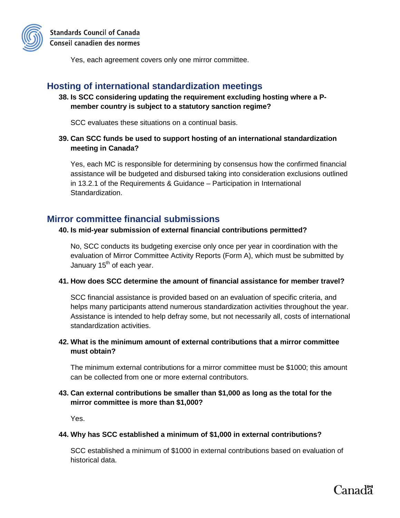

Yes, each agreement covers only one mirror committee.

## <span id="page-7-0"></span>**Hosting of international standardization meetings**

**38. Is SCC considering updating the requirement excluding hosting where a Pmember country is subject to a statutory sanction regime?**

SCC evaluates these situations on a continual basis.

**39. Can SCC funds be used to support hosting of an international standardization meeting in Canada?**

Yes, each MC is responsible for determining by consensus how the confirmed financial assistance will be budgeted and disbursed taking into consideration exclusions outlined in 13.2.1 of the Requirements & Guidance – Participation in International Standardization.

## <span id="page-7-1"></span>**Mirror committee financial submissions**

#### **40. Is mid-year submission of external financial contributions permitted?**

No, SCC conducts its budgeting exercise only once per year in coordination with the evaluation of Mirror Committee Activity Reports (Form A), which must be submitted by January  $15<sup>th</sup>$  of each year.

#### **41. How does SCC determine the amount of financial assistance for member travel?**

SCC financial assistance is provided based on an evaluation of specific criteria, and helps many participants attend numerous standardization activities throughout the year. Assistance is intended to help defray some, but not necessarily all, costs of international standardization activities.

#### **42. What is the minimum amount of external contributions that a mirror committee must obtain?**

The minimum external contributions for a mirror committee must be \$1000; this amount can be collected from one or more external contributors.

#### **43. Can external contributions be smaller than \$1,000 as long as the total for the mirror committee is more than \$1,000?**

Yes.

#### **44. Why has SCC established a minimum of \$1,000 in external contributions?**

SCC established a minimum of \$1000 in external contributions based on evaluation of historical data.